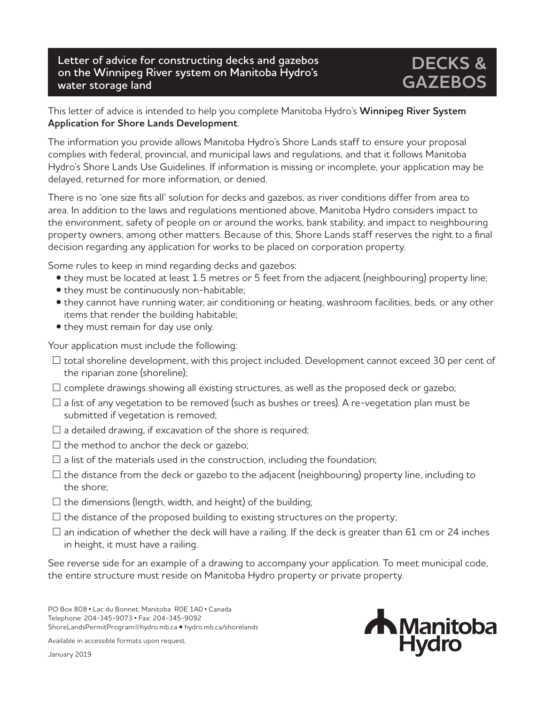## **Letter of advice for constructing decks and gazebos on the Winnipeg River system on Manitoba Hydro's water storage land**

## **DECKS & GAZEBOS**

## This letter of advice is intended to help you complete Manitoba Hydro's **Winnipeg River System Application for Shore Lands Development**.

The information you provide allows Manitoba Hydro's Shore Lands staff to ensure your proposal complies with federal, provincial, and municipal laws and regulations, and that it follows Manitoba Hydro's Shore Lands Use Guidelines. If information is missing or incomplete, your application may be delayed, returned for more information, or denied.

There is no 'one size fits all' solution for decks and gazebos, as river conditions differ from area to area. In addition to the laws and regulations mentioned above, Manitoba Hydro considers impact to the environment, safety of people on or around the works, bank stability, and impact to neighbouring property owners, among other matters. Because of this, Shore Lands staff reserves the right to a final decision regarding any application for works to be placed on corporation property.

Some rules to keep in mind regarding decks and gazebos:

- they must be located at least 1.5 metres or 5 feet from the adjacent (neighbouring) property line;
- they must be continuously non-habitable;
- they cannot have running water, air conditioning or heating, washroom facilities, beds, or any other items that render the building habitable;
- they must remain for day use only.

Your application must include the following:

- $\Box$  total shoreline development, with this project included. Development cannot exceed 30 per cent of the riparian zone (shoreline);
- $\square$  complete drawings showing all existing structures, as well as the proposed deck or gazebo;
- $\Box$  a list of any vegetation to be removed (such as bushes or trees). A re-vegetation plan must be submitted if vegetation is removed;
- $\square$  a detailed drawing, if excavation of the shore is required;
- $\square$  the method to anchor the deck or gazebo;
- $\square$  a list of the materials used in the construction, including the foundation;
- $\Box$  the distance from the deck or gazebo to the adjacent (neighbouring) property line, including to the shore;
- $\square$  the dimensions (length, width, and height) of the building;
- $\square$  the distance of the proposed building to existing structures on the property;
- $\Box$  an indication of whether the deck will have a railing. If the deck is greater than 61 cm or 24 inches in height, it must have a railing.

See reverse side for an example of a drawing to accompany your application. To meet municipal code, the entire structure must reside on Manitoba Hydro property or private property.

PO Box 808 • Lac du Bonnet, Manitoba R0E 1A0 • Canada Telephone: 204-345-9073 • Fax: 204-345-9092 ShoreLandsPermitProgram@hydro.mb.ca • hydro.mb.ca/shorelands

Available in accessible formats upon request.